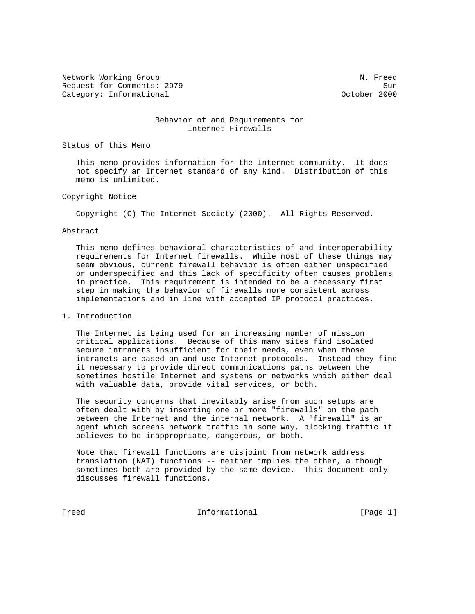Network Working Group Network Working Group Network Network Network Network Network Network Network Network Ne Request for Comments: 2979 Sun Category: Informational

#### Behavior of and Requirements for Internet Firewalls

Status of this Memo

 This memo provides information for the Internet community. It does not specify an Internet standard of any kind. Distribution of this memo is unlimited.

### Copyright Notice

Copyright (C) The Internet Society (2000). All Rights Reserved.

#### Abstract

 This memo defines behavioral characteristics of and interoperability requirements for Internet firewalls. While most of these things may seem obvious, current firewall behavior is often either unspecified or underspecified and this lack of specificity often causes problems in practice. This requirement is intended to be a necessary first step in making the behavior of firewalls more consistent across implementations and in line with accepted IP protocol practices.

# 1. Introduction

 The Internet is being used for an increasing number of mission critical applications. Because of this many sites find isolated secure intranets insufficient for their needs, even when those intranets are based on and use Internet protocols. Instead they find it necessary to provide direct communications paths between the sometimes hostile Internet and systems or networks which either deal with valuable data, provide vital services, or both.

 The security concerns that inevitably arise from such setups are often dealt with by inserting one or more "firewalls" on the path between the Internet and the internal network. A "firewall" is an agent which screens network traffic in some way, blocking traffic it believes to be inappropriate, dangerous, or both.

 Note that firewall functions are disjoint from network address translation (NAT) functions -- neither implies the other, although sometimes both are provided by the same device. This document only discusses firewall functions.

Freed Theorem Informational Theorem Informational [Page 1]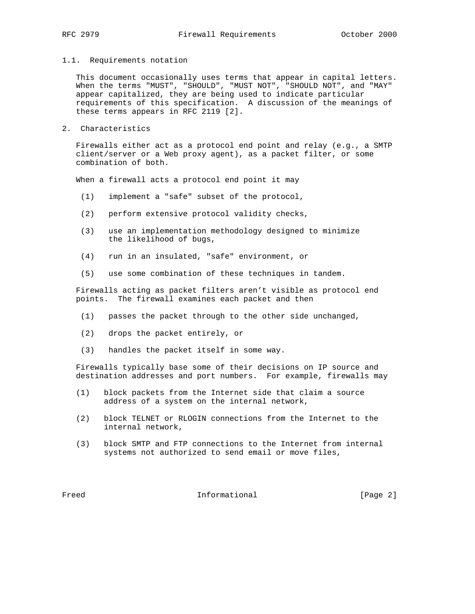1.1. Requirements notation

 This document occasionally uses terms that appear in capital letters. When the terms "MUST", "SHOULD", "MUST NOT", "SHOULD NOT", and "MAY" appear capitalized, they are being used to indicate particular requirements of this specification. A discussion of the meanings of these terms appears in RFC 2119 [2].

2. Characteristics

 Firewalls either act as a protocol end point and relay (e.g., a SMTP client/server or a Web proxy agent), as a packet filter, or some combination of both.

When a firewall acts a protocol end point it may

- (1) implement a "safe" subset of the protocol,
- (2) perform extensive protocol validity checks,
- (3) use an implementation methodology designed to minimize the likelihood of bugs,
- (4) run in an insulated, "safe" environment, or
- (5) use some combination of these techniques in tandem.

 Firewalls acting as packet filters aren't visible as protocol end points. The firewall examines each packet and then

- (1) passes the packet through to the other side unchanged,
- (2) drops the packet entirely, or
- (3) handles the packet itself in some way.

 Firewalls typically base some of their decisions on IP source and destination addresses and port numbers. For example, firewalls may

- (1) block packets from the Internet side that claim a source address of a system on the internal network,
- (2) block TELNET or RLOGIN connections from the Internet to the internal network,
- (3) block SMTP and FTP connections to the Internet from internal systems not authorized to send email or move files,

Freed The Informational The Informational [Page 2]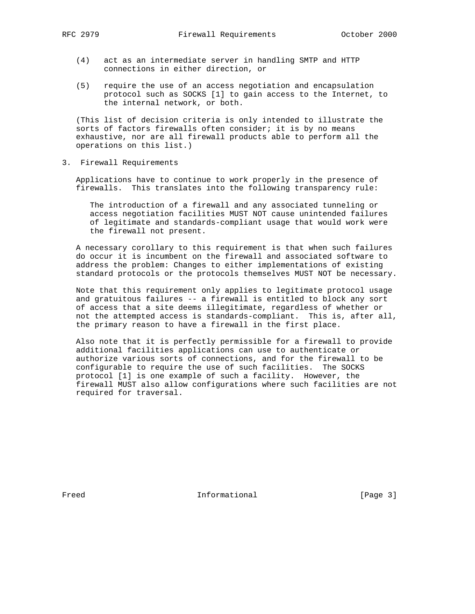- (4) act as an intermediate server in handling SMTP and HTTP connections in either direction, or
- (5) require the use of an access negotiation and encapsulation protocol such as SOCKS [1] to gain access to the Internet, to the internal network, or both.

 (This list of decision criteria is only intended to illustrate the sorts of factors firewalls often consider; it is by no means exhaustive, nor are all firewall products able to perform all the operations on this list.)

3. Firewall Requirements

 Applications have to continue to work properly in the presence of firewalls. This translates into the following transparency rule:

 The introduction of a firewall and any associated tunneling or access negotiation facilities MUST NOT cause unintended failures of legitimate and standards-compliant usage that would work were the firewall not present.

 A necessary corollary to this requirement is that when such failures do occur it is incumbent on the firewall and associated software to address the problem: Changes to either implementations of existing standard protocols or the protocols themselves MUST NOT be necessary.

 Note that this requirement only applies to legitimate protocol usage and gratuitous failures -- a firewall is entitled to block any sort of access that a site deems illegitimate, regardless of whether or not the attempted access is standards-compliant. This is, after all, the primary reason to have a firewall in the first place.

 Also note that it is perfectly permissible for a firewall to provide additional facilities applications can use to authenticate or authorize various sorts of connections, and for the firewall to be configurable to require the use of such facilities. The SOCKS protocol [1] is one example of such a facility. However, the firewall MUST also allow configurations where such facilities are not required for traversal.

Freed Theorem Informational Theorem Informational [Page 3]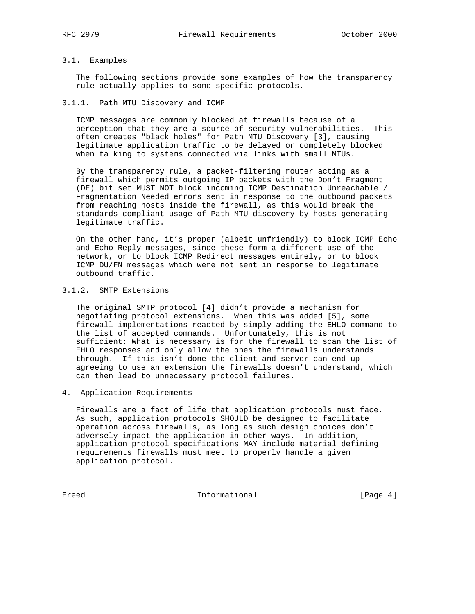# 3.1. Examples

 The following sections provide some examples of how the transparency rule actually applies to some specific protocols.

#### 3.1.1. Path MTU Discovery and ICMP

 ICMP messages are commonly blocked at firewalls because of a perception that they are a source of security vulnerabilities. This often creates "black holes" for Path MTU Discovery [3], causing legitimate application traffic to be delayed or completely blocked when talking to systems connected via links with small MTUs.

 By the transparency rule, a packet-filtering router acting as a firewall which permits outgoing IP packets with the Don't Fragment (DF) bit set MUST NOT block incoming ICMP Destination Unreachable / Fragmentation Needed errors sent in response to the outbound packets from reaching hosts inside the firewall, as this would break the standards-compliant usage of Path MTU discovery by hosts generating legitimate traffic.

 On the other hand, it's proper (albeit unfriendly) to block ICMP Echo and Echo Reply messages, since these form a different use of the network, or to block ICMP Redirect messages entirely, or to block ICMP DU/FN messages which were not sent in response to legitimate outbound traffic.

# 3.1.2. SMTP Extensions

 The original SMTP protocol [4] didn't provide a mechanism for negotiating protocol extensions. When this was added [5], some firewall implementations reacted by simply adding the EHLO command to the list of accepted commands. Unfortunately, this is not sufficient: What is necessary is for the firewall to scan the list of EHLO responses and only allow the ones the firewalls understands through. If this isn't done the client and server can end up agreeing to use an extension the firewalls doesn't understand, which can then lead to unnecessary protocol failures.

4. Application Requirements

 Firewalls are a fact of life that application protocols must face. As such, application protocols SHOULD be designed to facilitate operation across firewalls, as long as such design choices don't adversely impact the application in other ways. In addition, application protocol specifications MAY include material defining requirements firewalls must meet to properly handle a given application protocol.

Freed Informational [Page 4]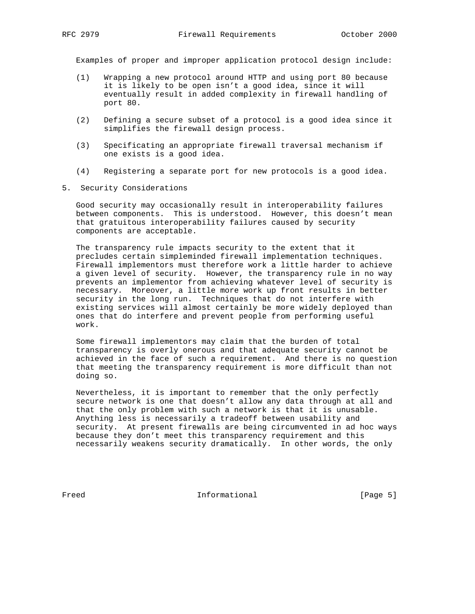Examples of proper and improper application protocol design include:

- (1) Wrapping a new protocol around HTTP and using port 80 because it is likely to be open isn't a good idea, since it will eventually result in added complexity in firewall handling of port 80.
- (2) Defining a secure subset of a protocol is a good idea since it simplifies the firewall design process.
- (3) Specificating an appropriate firewall traversal mechanism if one exists is a good idea.
- (4) Registering a separate port for new protocols is a good idea.
- 5. Security Considerations

 Good security may occasionally result in interoperability failures between components. This is understood. However, this doesn't mean that gratuitous interoperability failures caused by security components are acceptable.

 The transparency rule impacts security to the extent that it precludes certain simpleminded firewall implementation techniques. Firewall implementors must therefore work a little harder to achieve a given level of security. However, the transparency rule in no way prevents an implementor from achieving whatever level of security is necessary. Moreover, a little more work up front results in better security in the long run. Techniques that do not interfere with existing services will almost certainly be more widely deployed than ones that do interfere and prevent people from performing useful work.

 Some firewall implementors may claim that the burden of total transparency is overly onerous and that adequate security cannot be achieved in the face of such a requirement. And there is no question that meeting the transparency requirement is more difficult than not doing so.

 Nevertheless, it is important to remember that the only perfectly secure network is one that doesn't allow any data through at all and that the only problem with such a network is that it is unusable. Anything less is necessarily a tradeoff between usability and security. At present firewalls are being circumvented in ad hoc ways because they don't meet this transparency requirement and this necessarily weakens security dramatically. In other words, the only

Freed Theorem Informational Theorem Informational [Page 5]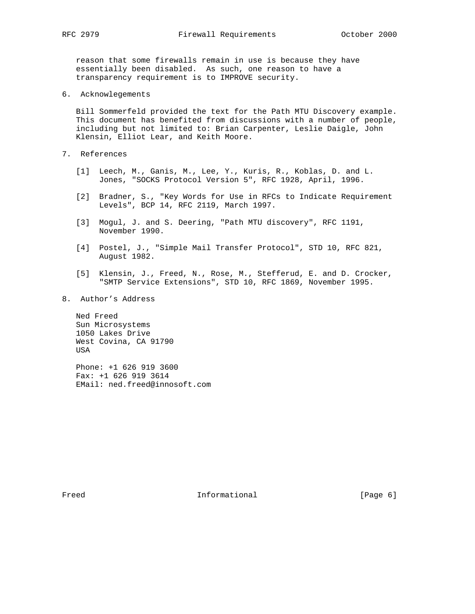reason that some firewalls remain in use is because they have essentially been disabled. As such, one reason to have a transparency requirement is to IMPROVE security.

6. Acknowlegements

 Bill Sommerfeld provided the text for the Path MTU Discovery example. This document has benefited from discussions with a number of people, including but not limited to: Brian Carpenter, Leslie Daigle, John Klensin, Elliot Lear, and Keith Moore.

- 7. References
	- [1] Leech, M., Ganis, M., Lee, Y., Kuris, R., Koblas, D. and L. Jones, "SOCKS Protocol Version 5", RFC 1928, April, 1996.
	- [2] Bradner, S., "Key Words for Use in RFCs to Indicate Requirement Levels", BCP 14, RFC 2119, March 1997.
	- [3] Mogul, J. and S. Deering, "Path MTU discovery", RFC 1191, November 1990.
	- [4] Postel, J., "Simple Mail Transfer Protocol", STD 10, RFC 821, August 1982.
	- [5] Klensin, J., Freed, N., Rose, M., Stefferud, E. and D. Crocker, "SMTP Service Extensions", STD 10, RFC 1869, November 1995.
- 8. Author's Address

 Ned Freed Sun Microsystems 1050 Lakes Drive West Covina, CA 91790 USA

 Phone: +1 626 919 3600 Fax: +1 626 919 3614 EMail: ned.freed@innosoft.com

Freed Theorem Informational Theorem Informational [Page 6]